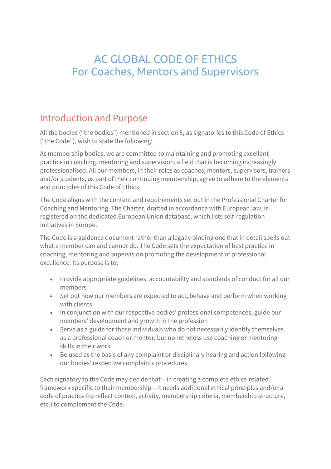# AC GLOBAL CODE OF ETHICS For Coaches, Mentors and Supervisors

## Introduction and Purpose

All the bodies ("the bodies") mentioned in section 5, as signatories to this Code of Ethics ("the Code"), wish to state the following:

As membership bodies, we are committed to maintaining and promoting excellent practice in coaching, mentoring and supervision, a field that is becoming increasingly professionalised. All our members, in their roles as coaches, mentors, supervisors, trainers and/or students, as part of their continuing membership, agree to adhere to the elements and principles of this Code of Ethics.

The Code aligns with the content and requirements set out in the Professional Charter for Coaching and Mentoring. The Charter, drafted in accordance with European law, is registered on the dedicated European Union database, which lists self-regulation initiatives in Europe.

The Code is a guidance document rather than a legally binding one that in detail spells out what a member can and cannot do. The Code sets the expectation of best practice in coaching, mentoring and supervision promoting the development of professional excellence. Its purpose is to:

- Provide appropriate guidelines, accountability and standards of conduct for all our members
- Set out how our members are expected to act, behave and perform when working with clients
- In conjunction with our respective bodies' professional competences, guide our members' development and growth in the profession
- Serve as a guide for those individuals who do not necessarily identify themselves as a professional coach or mentor, but nonetheless use coaching or mentoring skills in their work
- Be used as the basis of any complaint or disciplinary hearing and action following our bodies' respective complaints procedures.

Each signatory to the Code may decide that – in creating a complete ethics-related framework specific to their membership – it needs additional ethical principles and/or a code of practice (to reflect context, activity, membership criteria, membership structure, etc.) to complement the Code.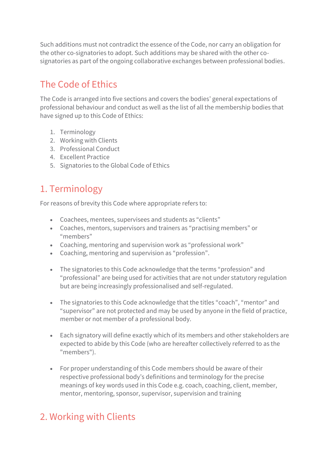Such additions must not contradict the essence of the Code, nor carry an obligation for the other co-signatories to adopt. Such additions may be shared with the other cosignatories as part of the ongoing collaborative exchanges between professional bodies.

## The Code of Ethics

The Code is arranged into five sections and covers the bodies' general expectations of professional behaviour and conduct as well as the list of all the membership bodies that have signed up to this Code of Ethics:

- 1. Terminology
- 2. Working with Clients
- 3. Professional Conduct
- 4. Excellent Practice
- 5. Signatories to the Global Code of Ethics

## 1. Terminology

For reasons of brevity this Code where appropriate refers to:

- Coachees, mentees, supervisees and students as "clients"
- Coaches, mentors, supervisors and trainers as "practising members" or "members"
- Coaching, mentoring and supervision work as "professional work"
- Coaching, mentoring and supervision as "profession".
- The signatories to this Code acknowledge that the terms "profession" and "professional" are being used for activities that are not under statutory regulation but are being increasingly professionalised and self-regulated.
- The signatories to this Code acknowledge that the titles "coach", "mentor" and "supervisor" are not protected and may be used by anyone in the field of practice, member or not member of a professional body.
- Each signatory will define exactly which of its members and other stakeholders are expected to abide by this Code (who are hereafter collectively referred to as the "members").
- For proper understanding of this Code members should be aware of their respective professional body's definitions and terminology for the precise meanings of key words used in this Code e.g. coach, coaching, client, member, mentor, mentoring, sponsor, supervisor, supervision and training

# 2. Working with Clients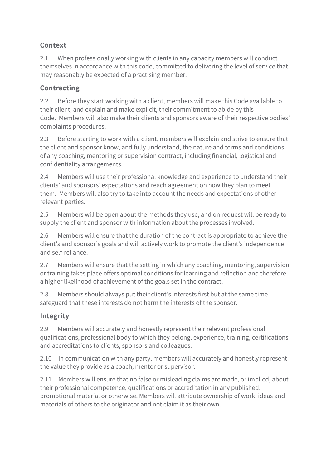### **Context**

2.1 When professionally working with clients in any capacity members will conduct themselves in accordance with this code, committed to delivering the level of service that may reasonably be expected of a practising member.

#### **Contracting**

2.2 Before they start working with a client, members will make this Code available to their client, and explain and make explicit, their commitment to abide by this Code. Members will also make their clients and sponsors aware of their respective bodies' complaints procedures.

2.3 Before starting to work with a client, members will explain and strive to ensure that the client and sponsor know, and fully understand, the nature and terms and conditions of any coaching, mentoring or supervision contract, including financial, logistical and confidentiality arrangements.

2.4 Members will use their professional knowledge and experience to understand their clients' and sponsors' expectations and reach agreement on how they plan to meet them. Members will also try to take into account the needs and expectations of other relevant parties.

2.5 Members will be open about the methods they use, and on request will be ready to supply the client and sponsor with information about the processes involved.

2.6 Members will ensure that the duration of the contract is appropriate to achieve the client's and sponsor's goals and will actively work to promote the client's independence and self-reliance.

2.7 Members will ensure that the setting in which any coaching, mentoring, supervision or training takes place offers optimal conditions for learning and reflection and therefore a higher likelihood of achievement of the goals set in the contract.

2.8 Members should always put their client's interests first but at the same time safeguard that these interests do not harm the interests of the sponsor.

#### **Integrity**

2.9 Members will accurately and honestly represent their relevant professional qualifications, professional body to which they belong, experience, training, certifications and accreditations to clients, sponsors and colleagues.

2.10 In communication with any party, members will accurately and honestly represent the value they provide as a coach, mentor or supervisor.

2.11 Members will ensure that no false or misleading claims are made, or implied, about their professional competence, qualifications or accreditation in any published, promotional material or otherwise. Members will attribute ownership of work, ideas and materials of others to the originator and not claim it as their own.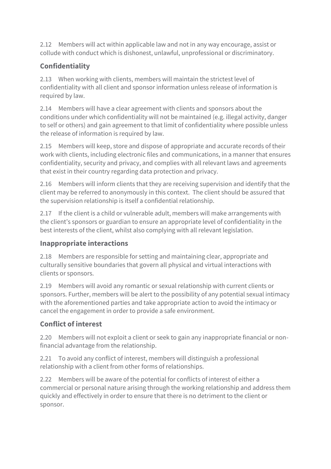2.12 Members will act within applicable law and not in any way encourage, assist or collude with conduct which is dishonest, unlawful, unprofessional or discriminatory.

### **Confidentiality**

2.13 When working with clients, members will maintain the strictest level of confidentiality with all client and sponsor information unless release of information is required by law.

2.14 Members will have a clear agreement with clients and sponsors about the conditions under which confidentiality will not be maintained (e.g. illegal activity, danger to self or others) and gain agreement to that limit of confidentiality where possible unless the release of information is required by law.

2.15 Members will keep, store and dispose of appropriate and accurate records of their work with clients, including electronic files and communications, in a manner that ensures confidentiality, security and privacy, and complies with all relevant laws and agreements that exist in their country regarding data protection and privacy.

2.16 Members will inform clients that they are receiving supervision and identify that the client may be referred to anonymously in this context. The client should be assured that the supervision relationship is itself a confidential relationship.

2.17 If the client is a child or vulnerable adult, members will make arrangements with the client's sponsors or guardian to ensure an appropriate level of confidentiality in the best interests of the client, whilst also complying with all relevant legislation.

### **Inappropriate interactions**

2.18 Members are responsible for setting and maintaining clear, appropriate and culturally sensitive boundaries that govern all physical and virtual interactions with clients or sponsors.

2.19 Members will avoid any romantic or sexual relationship with current clients or sponsors. Further, members will be alert to the possibility of any potential sexual intimacy with the aforementioned parties and take appropriate action to avoid the intimacy or cancel the engagement in order to provide a safe environment.

## **Conflict of interest**

2.20 Members will not exploit a client or seek to gain any inappropriate financial or nonfinancial advantage from the relationship.

2.21 To avoid any conflict of interest, members will distinguish a professional relationship with a client from other forms of relationships.

2.22 Members will be aware of the potential for conflicts of interest of either a commercial or personal nature arising through the working relationship and address them quickly and effectively in order to ensure that there is no detriment to the client or sponsor.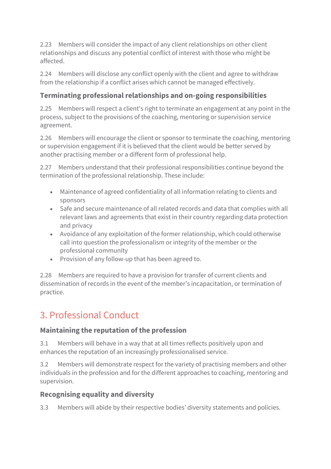2.23 Members will consider the impact of any client relationships on other client relationships and discuss any potential conflict of interest with those who might be affected.

2.24 Members will disclose any conflict openly with the client and agree to withdraw from the relationship if a conflict arises which cannot be managed effectively.

#### **Terminating professional relationships and on-going responsibilities**

2.25 Members will respect a client's right to terminate an engagement at any point in the process, subject to the provisions of the coaching, mentoring or supervision service agreement.

2.26 Members will encourage the client or sponsor to terminate the coaching, mentoring or supervision engagement if it is believed that the client would be better served by another practising member or a different form of professional help.

2.27 Members understand that their professional responsibilities continue beyond the termination of the professional relationship. These include:

- Maintenance of agreed confidentiality of all information relating to clients and sponsors
- Safe and secure maintenance of all related records and data that complies with all relevant laws and agreements that exist in their country regarding data protection and privacy
- Avoidance of any exploitation of the former relationship, which could otherwise call into question the professionalism or integrity of the member or the professional community
- Provision of any follow-up that has been agreed to.

2.28 Members are required to have a provision for transfer of current clients and dissemination of records in the event of the member's incapacitation, or termination of practice.

# 3. Professional Conduct

#### **Maintaining the reputation of the profession**

3.1 Members will behave in a way that at all times reflects positively upon and enhances the reputation of an increasingly professionalised service.

3.2 Members will demonstrate respect for the variety of practising members and other individuals in the profession and for the different approaches to coaching, mentoring and supervision.

### **Recognising equality and diversity**

3.3 Members will abide by their respective bodies' diversity statements and policies.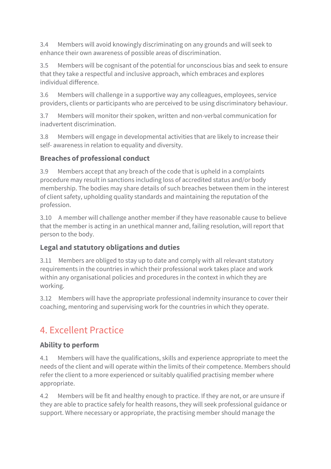3.4 Members will avoid knowingly discriminating on any grounds and will seek to enhance their own awareness of possible areas of discrimination.

3.5 Members will be cognisant of the potential for unconscious bias and seek to ensure that they take a respectful and inclusive approach, which embraces and explores individual difference.

3.6 Members will challenge in a supportive way any colleagues, employees, service providers, clients or participants who are perceived to be using discriminatory behaviour.

3.7 Members will monitor their spoken, written and non-verbal communication for inadvertent discrimination.

3.8 Members will engage in developmental activities that are likely to increase their self- awareness in relation to equality and diversity.

#### **Breaches of professional conduct**

3.9 Members accept that any breach of the code that is upheld in a complaints procedure may result in sanctions including loss of accredited status and/or body membership. The bodies may share details of such breaches between them in the interest of client safety, upholding quality standards and maintaining the reputation of the profession.

3.10 A member will challenge another member if they have reasonable cause to believe that the member is acting in an unethical manner and, failing resolution, will report that person to the body.

### **Legal and statutory obligations and duties**

3.11 Members are obliged to stay up to date and comply with all relevant statutory requirements in the countries in which their professional work takes place and work within any organisational policies and procedures in the context in which they are working.

3.12 Members will have the appropriate professional indemnity insurance to cover their coaching, mentoring and supervising work for the countries in which they operate.

# 4. Excellent Practice

#### **Ability to perform**

4.1 Members will have the qualifications, skills and experience appropriate to meet the needs of the client and will operate within the limits of their competence. Members should refer the client to a more experienced or suitably qualified practising member where appropriate.

4.2 Members will be fit and healthy enough to practice. If they are not, or are unsure if they are able to practice safely for health reasons, they will seek professional guidance or support. Where necessary or appropriate, the practising member should manage the